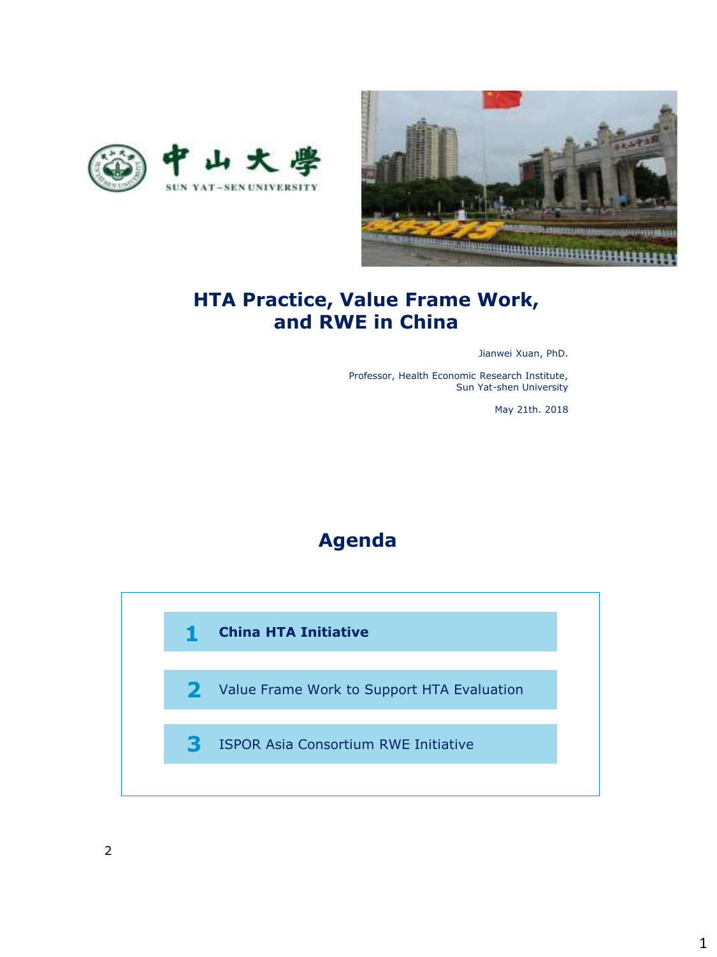



#### **HTA Practice, Value Frame Work, and RWE in China**

Jianwei Xuan, PhD.

Professor, Health Economic Research Institute, Sun Yat-shen University

May 21th. 2018



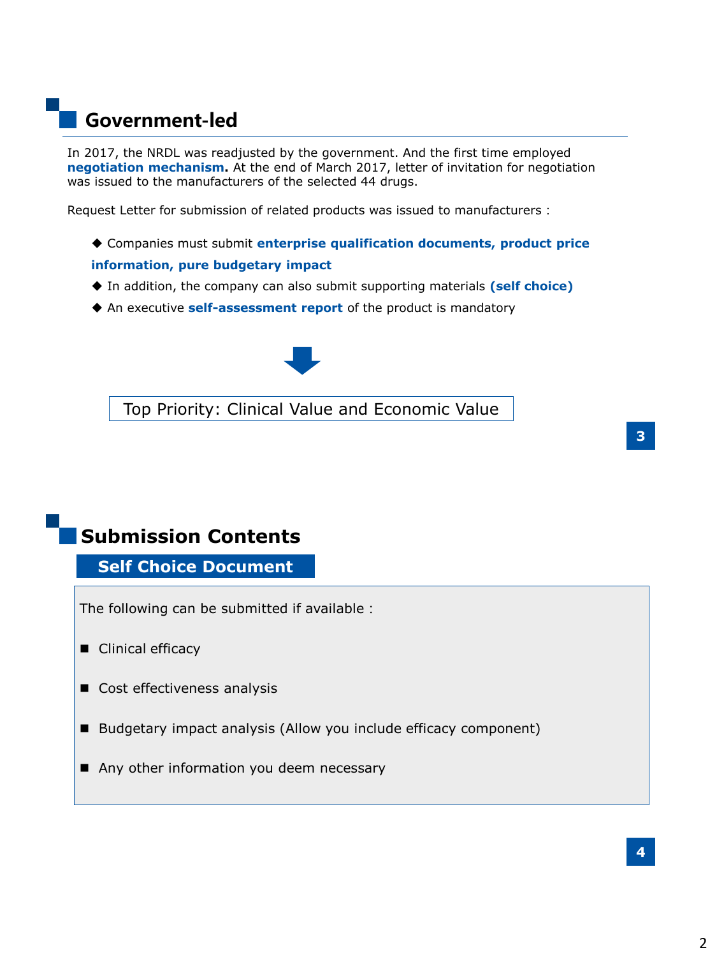## **Government-led**

In 2017, the NRDL was readjusted by the government. And the first time employed **negotiation mechanism.** At the end of March 2017, letter of invitation for negotiation was issued to the manufacturers of the selected 44 drugs.

Request Letter for submission of related products was issued to manufacturers:

- Companies must submit **enterprise qualification documents, product price information, pure budgetary impact**
- In addition, the company can also submit supporting materials **(self choice)**
- An executive **self-assessment report** of the product is mandatory



Top Priority: Clinical Value and Economic Value

**Self Choice Document** 

The following can be submitted if available:

- Clinical efficacy
- Cost effectiveness analysis
- Budgetary impact analysis (Allow you include efficacy component)
- Any other information you deem necessary

**3**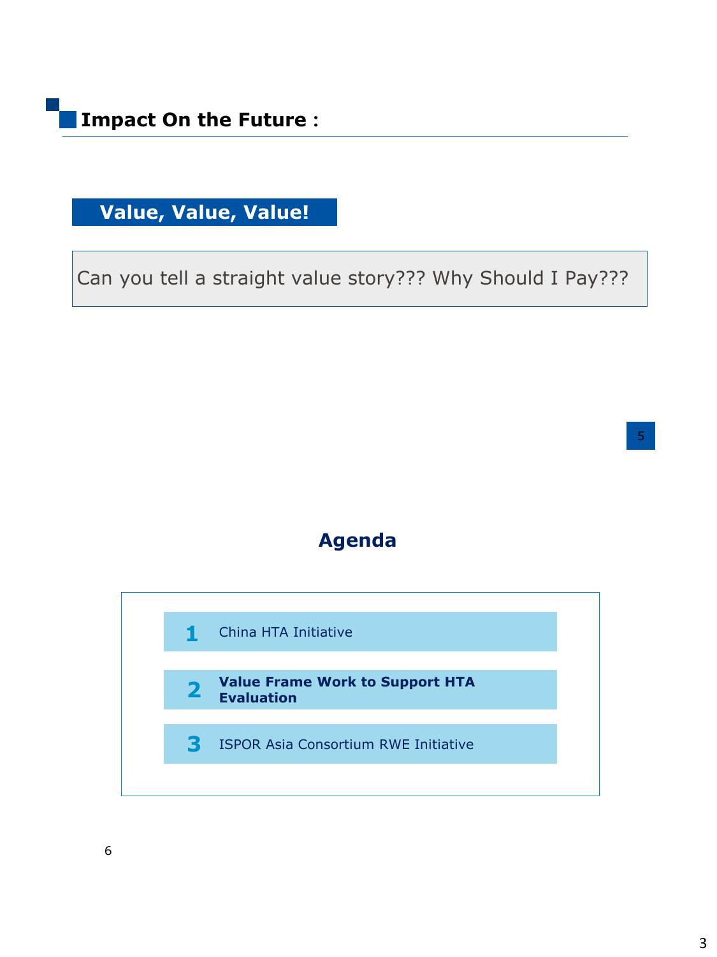# **Value, Value, Value!**

Can you tell a straight value story??? Why Should I Pay???

5



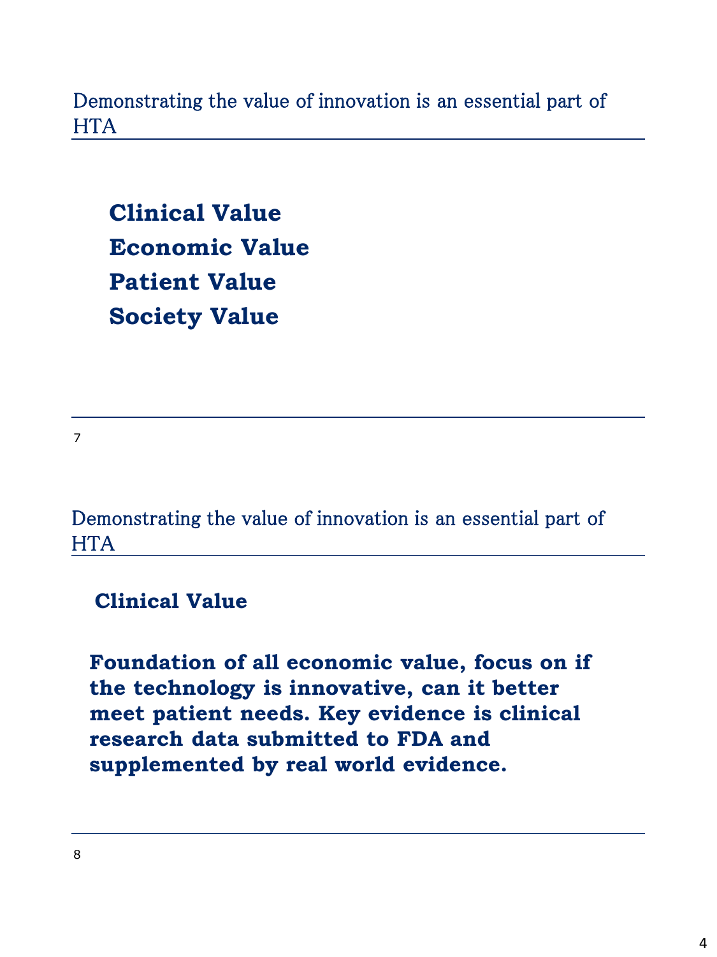Demonstrating the value of innovation is an essential part of **HTA** 

**Clinical Value Economic Value Patient Value Society Value**

7

Demonstrating the value of innovation is an essential part of **HTA** 

**Clinical Value** 

**Foundation of all economic value, focus on if the technology is innovative, can it better meet patient needs. Key evidence is clinical research data submitted to FDA and supplemented by real world evidence.**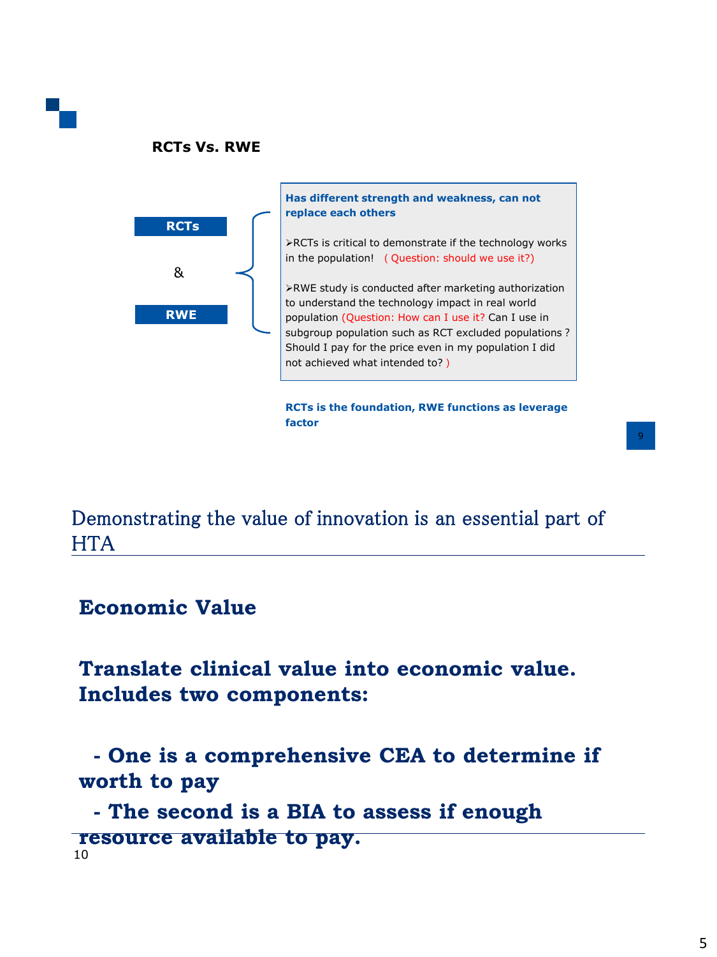



Demonstrating the value of innovation is an essential part of **HTA** 

#### **Economic Value**

**Translate clinical value into economic value. Includes two components:**

**- One is a comprehensive CEA to determine if worth to pay**

10 **- The second is a BIA to assess if enough resource available to pay.**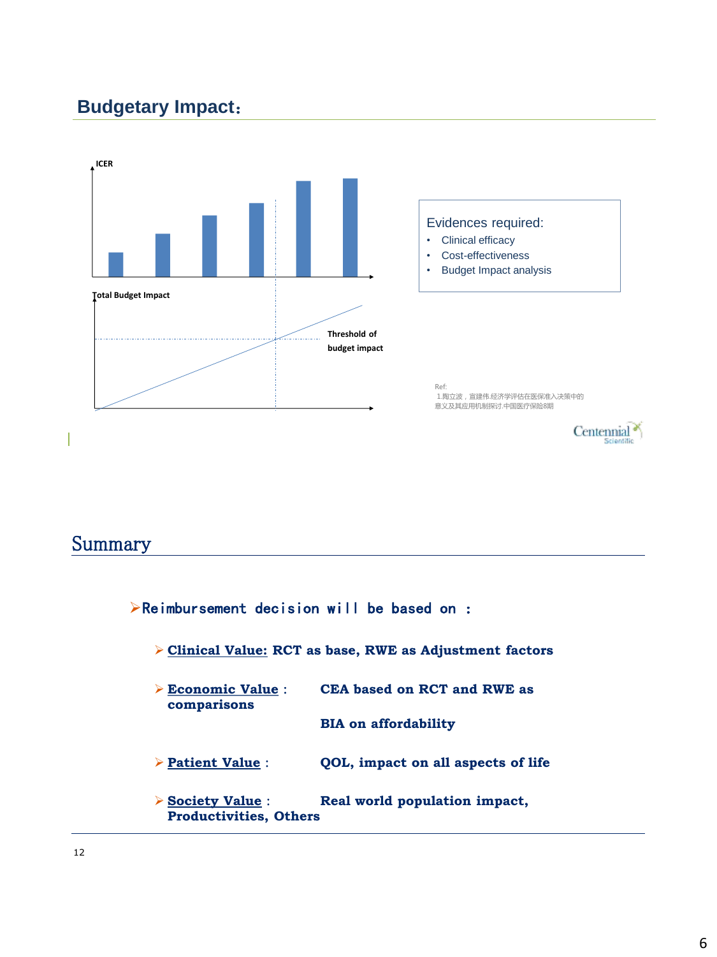## **Budgetary Impact**:



#### Summary

| $\triangleright$ Reimbursement decision will be based on :        |                                    |  |
|-------------------------------------------------------------------|------------------------------------|--|
| > Clinical Value: RCT as base, RWE as Adjustment factors          |                                    |  |
| $\triangleright$ Economic Value :<br>comparisons                  | CEA based on RCT and RWE as        |  |
|                                                                   | <b>BIA on affordability</b>        |  |
| $\triangleright$ Patient Value :                                  | QOL, impact on all aspects of life |  |
| $\triangleright$ Society Value :<br><b>Productivities, Others</b> | Real world population impact,      |  |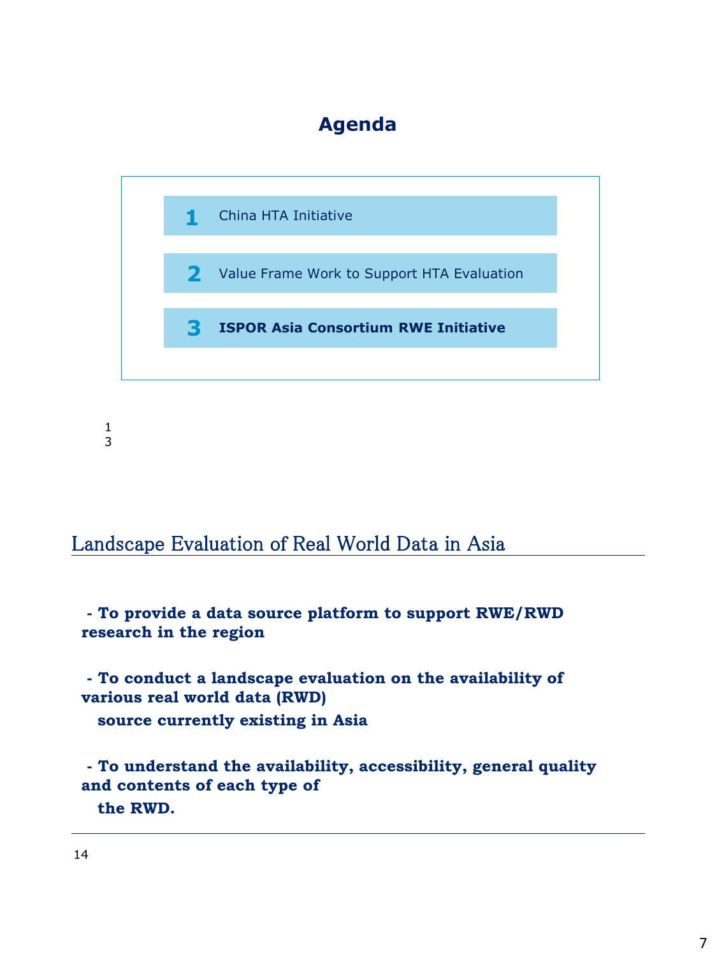## **Agenda**



1 3

#### Landscape Evaluation of Real World Data in Asia

**- To provide a data source platform to support RWE/RWD research in the region**

**- To conduct a landscape evaluation on the availability of various real world data (RWD) source currently existing in Asia**

**- To understand the availability, accessibility, general quality and contents of each type of the RWD.**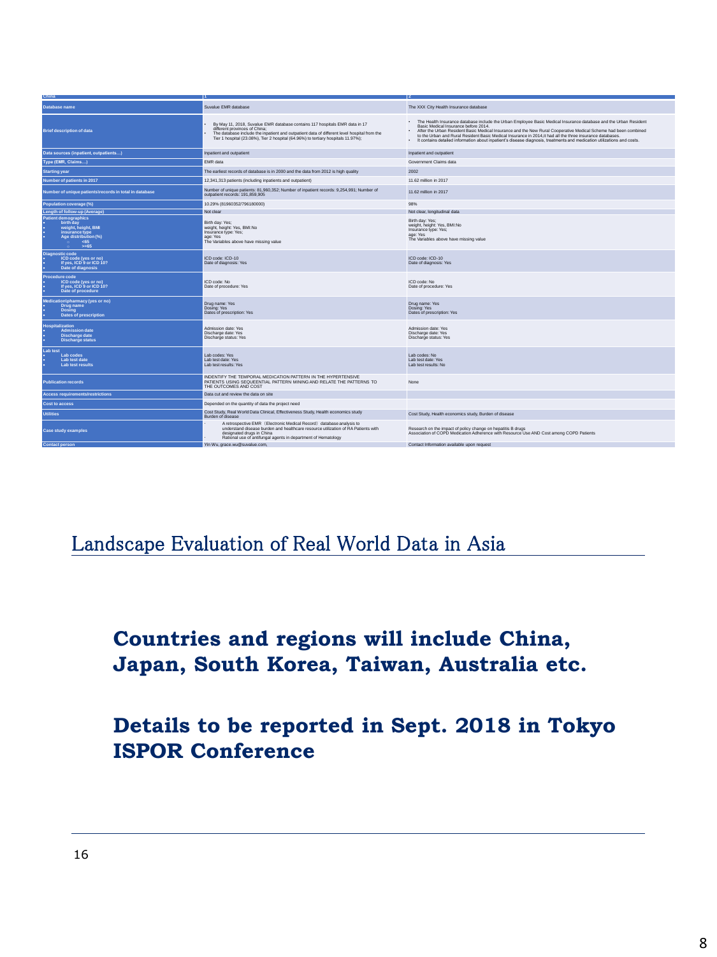| China                                                                                                                                               |                                                                                                                                                                                                                                                                                                  |                                                                                                                                                                                                                                                                                                                                                                                                                                                                                                                        |
|-----------------------------------------------------------------------------------------------------------------------------------------------------|--------------------------------------------------------------------------------------------------------------------------------------------------------------------------------------------------------------------------------------------------------------------------------------------------|------------------------------------------------------------------------------------------------------------------------------------------------------------------------------------------------------------------------------------------------------------------------------------------------------------------------------------------------------------------------------------------------------------------------------------------------------------------------------------------------------------------------|
| Database name                                                                                                                                       | Suvalue EMR database                                                                                                                                                                                                                                                                             | The XXX City Health Insurance database                                                                                                                                                                                                                                                                                                                                                                                                                                                                                 |
| <b>Brief description of data</b>                                                                                                                    | By May 11, 2018, Suvalue EMR database contains 117 hospitals EMR data in 17<br>different provinces of China;<br>The database include the inpatient and outpatient data of different level hospital from the<br>Tier 1 hospital (23.08%), Tier 2 hospital (64.96%) to tertiary hospitals 11.97%); | . The Health Insurance database include the Urban Employee Basic Medical Insurance database and the Urban Resident<br>Basic Medical Insurance before 2014.<br>After the Urban Resident Basic Medical Insurance and the New Rural Cooperative Medical Scheme had been combined<br>to the Urban and Rural Resident Basic Medical Insurance in 2014, it had all the three insurance databases.<br>It contains detailed information about inpatient's disease diagnosis, treatments and medication utilizations and costs. |
| Data sources (inpatient, outpatients)                                                                                                               | Inpatient and outpatient                                                                                                                                                                                                                                                                         | Inpatient and outpatient                                                                                                                                                                                                                                                                                                                                                                                                                                                                                               |
| Type (EMR, Claims)                                                                                                                                  | EMR data                                                                                                                                                                                                                                                                                         | Government Claims data                                                                                                                                                                                                                                                                                                                                                                                                                                                                                                 |
| <b>Starting year</b>                                                                                                                                | The earliest records of database is in 2000 and the data from 2012 is high quality                                                                                                                                                                                                               | 2002                                                                                                                                                                                                                                                                                                                                                                                                                                                                                                                   |
| Number of patients in 2017                                                                                                                          | 12,341,313 patients (including inpatients and outpatient)                                                                                                                                                                                                                                        | 11.62 million in 2017                                                                                                                                                                                                                                                                                                                                                                                                                                                                                                  |
| Number of unique patients\records in total in database                                                                                              | Number of unique patients: 81,960,352; Number of inpatient records: 9,254,991; Number of<br>outpatient records: 191.859.905                                                                                                                                                                      | 11.62 million in 2017                                                                                                                                                                                                                                                                                                                                                                                                                                                                                                  |
| Population coverage (%)                                                                                                                             | 10.29% (81960352/796180000)                                                                                                                                                                                                                                                                      | 98%                                                                                                                                                                                                                                                                                                                                                                                                                                                                                                                    |
| Length of follow-up (Average)                                                                                                                       | Not clear                                                                                                                                                                                                                                                                                        | Not clear, longitudinal data                                                                                                                                                                                                                                                                                                                                                                                                                                                                                           |
| Patient demographics<br>birth day<br>×.<br>weight, height, BMI<br>insurance type<br>٠<br>٠<br>Age distribution (%)<br>٠<br><65<br>$\bullet$<br>> 65 | Birth day: Yes;<br>weight, height: Yes, BMI:No<br>Insurance type: Yes;<br>age: Yes<br>The Variables above have missing value                                                                                                                                                                     | Birth day: Yes;<br>weight, height: Yes, BMI:No<br>Insurance type: Yes;<br>age: Yes<br>The Variables above have missing value                                                                                                                                                                                                                                                                                                                                                                                           |
| <b>Diagnostic code</b><br>ICD code (yes or no)<br>If yes, ICD 9 or ICD 10?<br>٠<br>Date of diagnosis<br>ò.                                          | ICD code: ICD-10<br>Date of diagnosis: Yes                                                                                                                                                                                                                                                       | ICD code: ICD-10<br>Date of diagnosis: Yes                                                                                                                                                                                                                                                                                                                                                                                                                                                                             |
| Procedure code<br>ICD code (yes or no)<br>÷<br>If yes, ICD 9 or ICD 10?<br>٠<br>Date of procedure<br>٠                                              | ICD code: No<br>Date of procedure: Yes                                                                                                                                                                                                                                                           | ICD code: No<br>Date of procedure: Yes                                                                                                                                                                                                                                                                                                                                                                                                                                                                                 |
| Medication\pharmacy (yes or no)<br><b>Drug name</b><br><b>Dosing</b><br>٠<br>÷<br>Dates of prescription                                             | Drug name: Yes<br>Dosing: Yes<br>Dates of prescription: Yes                                                                                                                                                                                                                                      | Drug name: Yes<br>Dosing: Yes<br>Dates of prescription: Yes                                                                                                                                                                                                                                                                                                                                                                                                                                                            |
| <b>Hospitalization</b><br><b>Admission date</b><br>ò.<br>Discharge date<br>×.<br><b>Discharge status</b>                                            | Admission date: Yes<br>Discharge date: Yes<br>Discharge status: Yes                                                                                                                                                                                                                              | Admission date: Yes<br>Discharge date: Yes<br>Discharge status: Yes                                                                                                                                                                                                                                                                                                                                                                                                                                                    |
| Lab test<br>Lab codes<br>×.<br>Lab test date<br>٠<br>Lab test results<br>٠                                                                          | Lab codes: Yes<br>Lab test date: Yes<br>Lab test results: Yes                                                                                                                                                                                                                                    | Lab codes: No<br>Lab test date: Yes<br>Lab test results: No                                                                                                                                                                                                                                                                                                                                                                                                                                                            |
| <b>Publication records</b>                                                                                                                          | INDENTIFY THE TEMPORAL MEDICATION PATTERN IN THE HYPERTENSIVE<br>PATIENTS USING SEQUEENTIAL PATTERN MINING AND RELATE THE PATTERNS TO<br>THE OUTCOMES AND COST                                                                                                                                   | None                                                                                                                                                                                                                                                                                                                                                                                                                                                                                                                   |
| <b>Access requirements/restrictions</b>                                                                                                             | Data cut and review the data on site                                                                                                                                                                                                                                                             |                                                                                                                                                                                                                                                                                                                                                                                                                                                                                                                        |
| Cost to access                                                                                                                                      | Depended on the quantity of data the project need                                                                                                                                                                                                                                                |                                                                                                                                                                                                                                                                                                                                                                                                                                                                                                                        |
| <b>Utilities</b>                                                                                                                                    | Cost Study, Real World Data Clinical, Effectiveness Study, Health economics study<br>Burden of disease                                                                                                                                                                                           | Cost Study, Health economics study, Burden of disease                                                                                                                                                                                                                                                                                                                                                                                                                                                                  |
| <b>Case study examples</b>                                                                                                                          | A retrospective EMR (Electronic Medical Record) database analysis to<br>understand disease burden and healthcare resource utilization of RA Patients with<br>designated drugs in China<br>Rational use of antifungal agents in department of Hematology                                          | Research on the impact of policy change on hepatitis B drugs<br>Association of COPD Medication Adherence with Resource Use AND Cost among COPD Patients                                                                                                                                                                                                                                                                                                                                                                |
| <b>Contact person</b>                                                                                                                               | Yin Wu, grace.wu@suvalue.com,                                                                                                                                                                                                                                                                    | Contact Information available upon request                                                                                                                                                                                                                                                                                                                                                                                                                                                                             |

Landscape Evaluation of Real World Data in Asia

**Countries and regions will include China, Japan, South Korea, Taiwan, Australia etc.**

**Details to be reported in Sept. 2018 in Tokyo ISPOR Conference**